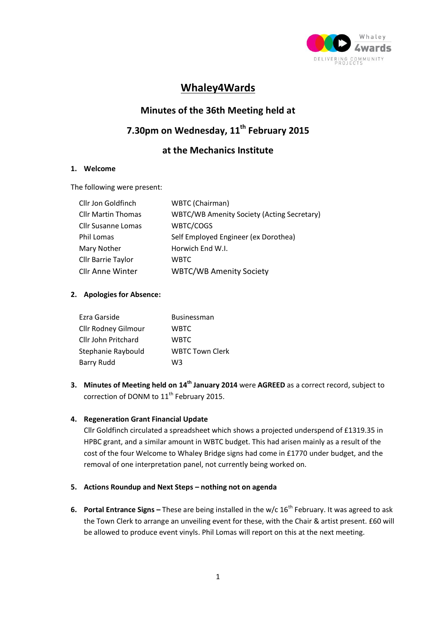

## **Whaley4Wards**

# **Minutes of the 36th Meeting held at**

# **7.30pm on Wednesday, 11th February 2015**

### **at the Mechanics Institute**

#### **1. Welcome**

The following were present:

| Cllr Jon Goldfinch        | <b>WBTC</b> (Chairman)                            |
|---------------------------|---------------------------------------------------|
| <b>Cllr Martin Thomas</b> | <b>WBTC/WB Amenity Society (Acting Secretary)</b> |
| <b>Cllr Susanne Lomas</b> | WBTC/COGS                                         |
| <b>Phil Lomas</b>         | Self Employed Engineer (ex Dorothea)              |
| Mary Nother               | Horwich End W.I.                                  |
| Cllr Barrie Taylor        | <b>WBTC</b>                                       |
| Cllr Anne Winter          | <b>WBTC/WB Amenity Society</b>                    |

#### **2. Apologies for Absence:**

| Ezra Garside        | <b>Businessman</b>     |
|---------------------|------------------------|
| Cllr Rodney Gilmour | WBTC                   |
| Cllr John Pritchard | WBTC                   |
| Stephanie Raybould  | <b>WBTC Town Clerk</b> |
| <b>Barry Rudd</b>   | w٩                     |

**3. Minutes of Meeting held on 14th January 2014** were **AGREED** as a correct record, subject to correction of DONM to 11<sup>th</sup> February 2015.

#### **4. Regeneration Grant Financial Update**

Cllr Goldfinch circulated a spreadsheet which shows a projected underspend of £1319.35 in HPBC grant, and a similar amount in WBTC budget. This had arisen mainly as a result of the cost of the four Welcome to Whaley Bridge signs had come in £1770 under budget, and the removal of one interpretation panel, not currently being worked on.

- **5. Actions Roundup and Next Steps – nothing not on agenda**
- **6.** Portal Entrance Signs These are being installed in the w/c 16<sup>th</sup> February. It was agreed to ask the Town Clerk to arrange an unveiling event for these, with the Chair & artist present. £60 will be allowed to produce event vinyls. Phil Lomas will report on this at the next meeting.